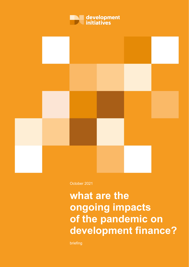



October 2021

# **what are the ongoing impacts of the pandemic on development finance?**

briefing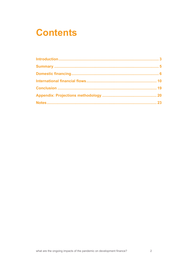# **Contents**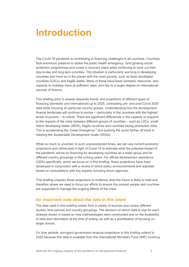# <span id="page-2-0"></span>**Introduction**

The Covid-19 pandemic is contributing to financing challenges in all countries. Countries face enormous pressure to tackle the public health emergency, fund growing social protection programmes and invest in recovery plans while continuing to work out their day-to-day and long-term priorities. The situation is particularly worrying in developing countries and more so in the places with the most poverty, such as least developed countries (LDCs) and fragile states. Many of these have lower domestic resources, less capacity to mobilise more at sufficient rates, and rely to a larger degree on international sources of finance.

This briefing aims to assess disparate trends and projections of different types of financing (domestic and international) up to 2025, contrasting pre- and post-Covid 2020 data while focusing on particular country groups. Understanding how the development finance landscape will continue to evolve – particularly in the countries with the highest levels of poverty – is critical. There are significant differences in the capacity to respond to the impacts of the crisis between different groups of countries – such as LDCs, small island developing states (SIDS), fragile countries and countries facing protracted crisis. This is accelerating the ['Great Divergence'](https://blogs.imf.org/2021/02/24/the-great-divergence-a-fork-in-the-road-for-the-global-economy/)<sup>[1](#page-23-0)</sup> and pushing the world further off track in meeting the Sustainable Development Goals (SDGs).

While so much is uncertain in such unprecedented times, we can use current economic projections and reforecasts in light of Covid-19 to estimate what the potential impact of the pandemic will be on financing for developing countries as a wider group and for different country groupings in the coming years. For official development assistance (ODA) specifically, which we focus on in this briefing, these projections have been developed in conjunction with a review of donor policy announcements and adjusted based on consultations with key experts including donor agencies.

This briefing unpacks those projections to evidence what the future is likely to hold and therefore where we need to focus our efforts to ensure the poorest people and countries are supported to manage the ongoing effects of the crisis.

### **An important note about the data in this paper**

The data used in this briefing comes from a variety of sources and covers different donors, time periods and country groupings. The decision on which data to use for each analysis shown is based on how methodologies were constructed and on the availability of data and information at the time of writing, as well as a prioritisation of focusing on larger donors.

On time periods, non-grant government revenue projections in this briefing extend to 2025 because this data is available from the International Monetary Fund (IMF) covering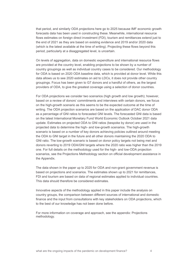that period, and similarly ODA projections here go to 2025 because IMF economic growth forecasts data has been used in constructing these. Meanwhile, international resource flows estimates on foreign direct investment (FDI), tourism and remittances extend just to the end of 2021 as they are based on existing evidence and 2019 and/or 2020 data (which is the latest available at the time of writing). Projecting these flows beyond this period, particularly at a disaggregated level, is uncertain.

On levels of aggregation, data on domestic expenditure and international resource flows are provided at the country level, enabling projections to be shown by a number of country groupings as well as individual country cases to be considered. Our methodology for ODA is based on 2020 ODA baseline data, which is provided at donor level. While this data allows us to see 2020 estimates on aid to LDCs, it does not provide other country groupings. Focus has been given to G7 donors and a handful of others, as the largest providers of ODA, to give the greatest coverage using a selection of donor countries.

For ODA projections we consider two scenarios (high growth and low growth); however, based on a review of donors' commitments and interviews with certain donors, we focus on the high-growth scenario as this seems to be the expected outcome at the time of writing. The ODA projection scenarios are based on the application of DAC donor ODA as a percentage of GNI ratios to forecasted GNI levels. The forecasted GNI data is based on the latest International Monetary Fund World Economic Outlook October 2021 data update. Estimates on projected ODA to GNI ratios (bespoke by donor) are used in the projected data to determine the high- and low-growth scenarios. The high-growth scenario is based on a number of key donors achieving policies outlined around meeting the ODA to GNI target in the future and all other donors maintaining the 2020 ODA to GNI ratio. The low-growth scenario is based on donor policy targets not being met and donors reverting to 2019 ODA/GNI targets where the 2020 ratio was higher than the 2019 one. For full details on the methodology used for the high- and low-ODA projection scenarios, see the Projections Methodology section on official development assistance in the Appendix.

The data shown in the paper up to 2025 for ODA and non-grant government revenue is based on projections and scenarios. The estimates shown up to 2021 for remittances, FDI and tourism are based on data of regional estimates applied to individual countries. This data should therefore be considered estimates.

Innovative aspects of the methodology applied in this paper include the analysis on country groups, the comparison between different sources of international and domestic finance and the input from consultations with key stakeholders on ODA projections, which to the best of our knowledge has not been done before.

For more information on coverage and approach, see the appendix: Projections methodology.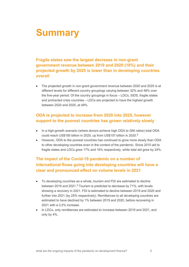# <span id="page-4-0"></span>**Summary**

## **Fragile states saw the largest decrease in non-grant government revenue between 2019 and 2020 (18%) and their projected growth by 2025 is lower than in developing countries overall**

• The projected growth in non-grant government revenue between 2020 and 2025 is at different levels for different country groupings varying between 32% and 48% over the five-year period. Of the country groupings in focus – LDCs, SIDS, fragile states and protracted crisis countries – LDCs are projected to have the highest growth between 2020 and 2025, at 48%.

## **ODA is projected to increase from 2020 into 2025, however support to the poorest countries has grown relatively slowly**

- In a high-growth scenario (where donors achieve high ODA to GNI ratios) total ODA could reach US\$185 billion in [2](#page-23-1)025, up from US\$157 billion in 2020.<sup>2</sup>
- However, ODA to the poorest countries has continued to grow more slowly than ODA to other developing countries even in the context of the pandemic. Since 2010 aid to fragile states and LDCs grew 17% and 16% respectively, while total aid grew by 24%.

## **The impact of the Covid-19 pandemic on a number of international flows going into developing countries will have a clear and pronounced effect on volume levels in 2021**

- To developing countries as a whole, tourism and FDI are estimated to decline between 2019 and 2021.<sup>[3](#page-23-2)</sup> Tourism is predicted to decrease by 71%, with levels showing a recovery in 2021. FDI is estimated to decline between 2019 and 2020 and further into 2021 (by 25% respectively). Remittances to all developing countries are estimated to have declined by 1% between 2019 and 2020, before recovering in 2021 with a 3.2% increase.
- In LDCs, only remittances are estimated to increase between 2019 and 2021, and only by 4%.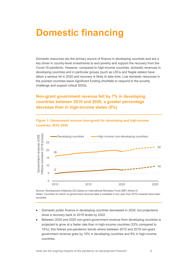# <span id="page-5-0"></span>**Domestic financing**

Domestic resources are the primary source of finance in developing countries and are a key driver in country-level investments to end poverty and support the recovery from the Covid-19 pandemic*.* However, compared to high-income countries, domestic revenues in developing countries and in particular groups (such as LDCs and fragile states) have taken a serious hit in 2020 and recovery is likely to take time. Low domestic resources in the poorest countries leave significant funding shortfalls to respond to the poverty challenge and support critical SDGs.

## **Non-grant government revenue fell by 7% in developing countries between 2019 and 2020, a greater percentage decrease than in high-income states (5%)**

**Figure 1: Government revenue (non-grant) for developing and high-income** 



**countries, 2010–2025**

Source: Development Initiatives (DI) based on International Monetary Fund (IMF) Article IV Notes: Countries for which no government revenue data is available in any year from 2010 onwards have been excluded.

- Domestic public finance in developing countries decreased in 2020, but projections show a recovery back to 2019 levels by 2022.
- Between 2020 and 2025 non-grant government revenue from developing countries is projected to grow at a faster rate than in high-income countries (33% compared to 15%); this follows pre-pandemic trends where between 2015 and 2019 non-grant government revenue grew by 19% in developing countries and 8% in high-income countries.

what are the ongoing impacts of the pandemic on development finance? 6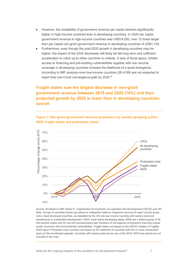- However, the availability of government revenue per capita remains significantly higher in high-income countries than in developing countries. In 2020 per capita government revenue in high-income countries was US\$14,050, over 12 times larger than per capita non-grant government revenue in developing countries of US\$1,130.
- Furthermore, even though the post-2020 growth in developing countries may be higher, the impact of the 2020 decreases will likely be felt long term and sufficient acceleration to catch up to other countries is unlikely. A lack of fiscal space, limited access to financing and pre-existing vulnerabilities together with low vaccine coverage in developing countries increase the likelihood of a great divergence. According to IMF analysis most low-income countries (58 of 69) are not expected to reach their pre-Covid convergence path by 2025.[4](#page-23-3)

## **Fragile states saw the largest decrease in non-grant government revenue between 2019 and 2020 (18%) and their projected growth by 2025 is lower than in developing countries overall**





Source: DI based on IMF Article IV, Organisation for Economic Co-operation and Development (OECD) and UN Note: Groups of countries shown are based on categories made by respective sources for each country group. LDCs: least developed countries, as classified by the UN, are low-income countries with severe structural impediments to sustainable development. SIDS: small island developing states. SIDS are a distinct group of 38 UN member states and 20 non-UN members/associate members of UN regional commissions that face unique social, economic and environmental vulnerabilities. Fragile states are based on the OECD's States of Fragility 2020 report. Protracted crisis countries are based on DI's definition of countries with five or more consecutive years of UN-coordinated appeals. Countries with missing data across any of the 2015–2025 time period are not included in the chart.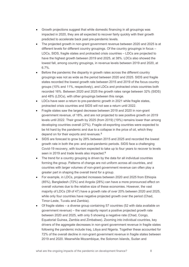- Growth projections suggest that while domestic financing in all groupings was impacted in 2020, they are all expected to recover fairly quickly with their growth predicted to accelerate back past pre-pandemic levels.
- The projected growth in non-grant government revenue between 2020 and 2025 is at different levels for different country groupings. Of the country groupings in focus – LDCs, SIDS, fragile states and protracted crisis countries – LDCs are projected to have the highest growth between 2019 and 2025, at 38%. LDCs also showed the lowest fall, among country groupings, in revenue levels between 2019 and 2020, at 6.7%.
- Before the pandemic the disparity in growth rates across the different country groupings was not as wide as the period between 2020 and 2025. SIDS and fragile states recorded the lowest growth rate between 2015 and 2019 of the focus country groups (10% and 11%, respectively), and LDCs and protracted crisis countries both recorded 16%. Between 2020 and 2025 the growth rates range between 32% (SIDS) and 48% (LDCs), with other groupings between this range.
- LDCs have seen a return to pre-pandemic growth in 2021 while fragile states, protracted crisis countries and SIDS will not see a return until 2022.
- Fragile states saw the largest decrease between 2019 and 2020 in non-grant government revenue, of 18%, and are not projected to see positive growth on 2019 levels until 2022. Their growth by 2025 (from 2019) (19%) remains lower than among developing countries overall (27%). Fragile oil-exporting countries were expected to be hit hard by the pandemic and due to a collapse in the price of oil, which they depend on for their exports and revenues. [5](#page-23-4)
- SIDS are forecast to grow by 28% between 2015 and 2025 and recorded the lowest growth rate in both the pre- and post-pandemic periods. SIDS face a challenging Covid-19 recovery, with tourism expected to take up to four years to recover to levels seen in 2019 and trade levels also impacted.<sup>[6](#page-23-5)</sup>
- The trend for a country grouping is driven by the data for all individual countries forming the group. Patterns of change are not uniform across all countries, and countries with larger volumes of non-grant government revenue can often play a greater part in shaping the overall trend for a group.
- For example, in LDCs, projected increases between 2020 and 2025 from Ethiopia (85%), Bangladesh (72%) and Angola (28%) can have a more pronounced effect on overall volumes due to the relative size of these economies. However, the vast majority of LDCs (39 of 47) have a growth rate of over 20% between 2020 and 2025, while only four countries have negative projected growth over the period (Chad, Timor-Leste, Tuvalu and Zambia).
- Of fragile states a diverse group containing 57 countries (52 with data available on government revenue) – the vast majority report a positive projected growth rate between 2020 and 2025, with only 5 showing a negative rate (Chad, Congo, Equatorial Guinea, Zambia and Zimbabwe). Zooming into individual countries, key drivers of the aggregate decreases in non-grant government revenue in fragile states following the pandemic include Iraq, Libya and Nigeria. Together these accounted for 72% of the overall decline in non-grant government revenue in fragile states between 2019 and 2020. Meanwhile Mozambique, the Solomon Islands, Sudan and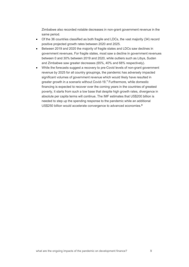Zimbabwe also recorded notable decreases in non-grant government revenue in the same period.

- Of the 36 countries classified as both fragile and LDCs, the vast majority (34) record positive projected growth rates between 2020 and 2025.
- Between 2019 and 2020 the majority of fragile states and LDCs saw declines in government revenues. For fragile states, most saw a decline in government revenues between 0 and 30% between 2019 and 2020, while outliers such as Libya, Sudan and Zimbabwe saw greater decreases (65%, 40% and 68% respectively).
- While the forecasts suggest a recovery to pre-Covid levels of non-grant government revenue by 2025 for all country groupings, the pandemic has adversely impacted significant volumes of government revenue which would likely have resulted in greater growth in a scenario without Covid-19.[7](#page-23-6) Furthermore, while domestic financing is expected to recover over the coming years in the countries of greatest poverty, it starts from such a low base that despite high growth rates, divergence in absolute per capita terms will continue. The IMF estimates that US\$200 billion is needed to step up the spending response to the pandemic while an additional US\$250 billion would accelerate convergence to advanced economies.<sup>[8](#page-23-7)</sup>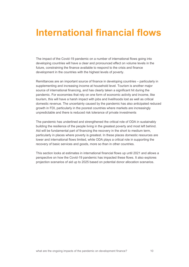# <span id="page-9-0"></span>**International financial flows**

The impact of the Covid-19 pandemic on a number of international flows going into developing countries will have a clear and pronounced effect on volume levels in the future, constraining the finance available to respond to the crisis and finance development in the countries with the highest levels of poverty.

Remittances are an important source of finance in developing countries – particularly in supplementing and increasing income at household level. Tourism is another major source of international financing, and has clearly taken a significant hit during the pandemic. For economies that rely on one form of economic activity and income, like tourism, this will have a harsh impact with jobs and livelihoods lost as well as critical domestic revenue. The uncertainty caused by the pandemic has also anticipated reduced growth in FDI, particularly in the poorest countries where markets are increasingly unpredictable and there is reduced risk tolerance of private investments

The pandemic has underlined and strengthened the critical role of ODA in sustainably building the resilience of the people living in the greatest poverty and most left behind. Aid will be fundamental part of financing the recovery in the short to medium term, particularly in places where poverty is greatest. In these places domestic resources are lower and international flows limited, while ODA plays a critical role in supporting the recovery of basic services and goods, more so than in other countries.

This section looks at estimates in international financial flows up until 2021 and allows a perspective on how the Covid-19 pandemic has impacted these flows. It also explores projection scenarios of aid up to 2025 based on potential donor allocation scenarios.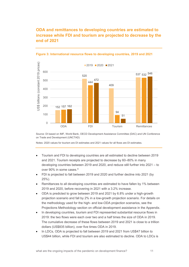## **ODA and remittances to developing countries are estimated to increase while FDI and tourism are projected to decrease by the end of 2021**



#### **Figure 3: International resource flows to developing countries, 2019 and 2021**

Source: DI based on IMF, World Bank, OECD Development Assistance Committee (DAC) and UN Conference on Trade and Development (UNCTAD)

Notes: 2020 values for tourism are DI estimates and 2021 values for all flows are DI estimates.

- Tourism and FDI to developing countries are all estimated to decline between 2019 and 2021. Tourism receipts are projected to decrease by 60–80% in many developing countries between 2019 and 2020, and reduce still further into 2021 – to over [9](#page-23-8)0% in some cases.<sup>9</sup>
- FDI is projected to fall between 2019 and 2020 and further decline into 2021 (by 25%).
- Remittances to all developing countries are estimated to have fallen by 1% between 2019 and 2020, before recovering in 2021 with a 3.2% increase.
- ODA is predicted to grow between 2019 and 2021 by 6.8% under a high-growth projection scenario and fall by 2% in a low-growth projection scenario. For details on the methodology used for the high- and low-ODA projection scenarios, see the Projections Methodology section on official development assistance in the Appendix.
- In developing countries, tourism and FDI represented substantial resource flows in 2019: the two flows were each over two and a half times the size of ODA in 2019. The cumulative decrease of these flows between 2019 and 2021 is close to a trillion dollars (US\$835 billion), over five times ODA in 2019.
- In LDCs, ODA is projected to fall between 2019 and 2021 from US\$47 billion to US\$44 billion, while FDI and tourism are also estimated to decline. ODA to LDCs is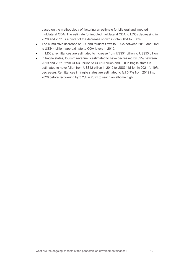based on the methodology of factoring an estimate for bilateral and imputed multilateral ODA. The estimate for imputed multilateral ODA to LDCs decreasing in 2020 and 2021 is a driver of the decrease shown in total ODA to LDCs.

- The cumulative decrease of FDI and tourism flows to LDCs between 2019 and 2021 is US\$44 billion, approximate to ODA levels in 2019.
- In LDCs, remittances are estimated to increase from US\$51 billion to US\$53 billion.
- In fragile states, tourism revenue is estimated to have decreased by 69% between 2019 and 2021, from US\$33 billion to US\$10 billion and FDI in fragile states is estimated to have fallen from US\$42 billion in 2019 to US\$34 billion in 2021 (a 19% decrease). Remittances in fragile states are estimated to fall 0.7% from 2019 into 2020 before recovering by 3.2% in 2021 to reach an all-time high.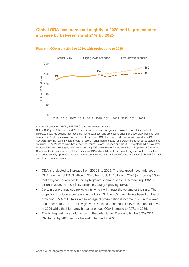### **Global ODA has increased slightly in 2020 and is projected to increase by between 7 and 21% by 2025**



#### **Figure 4: ODA from 2015 to 2020, with projections to 2025**

Source: DI based on OECD, IMF (WEO) and government sources

Notes: ODA pre-2017 is net, and 2017 and onwards is based on grant equivalents. Dotted lines indicate projected data. Projections methodology: high-growth scenario projections based on 2020 ODA/gross national income (GNI) rates maintained and applied to projected GNI. The low-growth scenario is based on 2019 ODA/GNI rate maintained where the 2019 ratio is higher than the 2020 ratio. Adjustments for policy statements on future ODA/GNI ratios have been used for France, Ireland, Sweden and the UK. Projected GNI is calculated by using forward-looking gross domestic product (GDP) growth rate figures from the IMF applied to GNI levels. One caveat is in cases where a future shock to GDP and/or GNI would cause a divergence to the estimates; this can be notably applicable in cases where countries face a significant difference between GDP and GNI and one of the measures is affected.

- ODA is projected to increase from 2020 into 2025. The low-growth scenario sees ODA reaching US\$163 billion in 2025 from US\$157 billion in 2020 (or growing 4% in that six-year period), while the high-growth scenario sees ODA reaching US\$185 billion in 2025, from US\$157 billion in 2020 (or growing 18%).
- Certain donors may see policy shifts which will impact the volume of their aid. The projections include a decrease in the UK's ODA in 2021, with levels based on the UK providing 0.5% of ODA as a percentage of gross national income (GNI) in this year and forward to 2024. The low-growth UK aid scenario sees ODA maintained at 0.5% in 2025 while the high-growth scenario sees ODA increase to 0.7% in 2025.
- The high-growth scenario factors in the potential for France to hit the 0.7% ODA to GNI target by 2025 and for Ireland to hit this by 2030.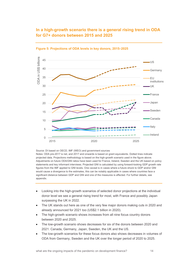## **In a high-growth scenario there is a general rising trend in ODA for G7+ donors between 2015 and 2025**



**Figure 5: Projections of ODA levels in key donors, 2015–2025**

Source: DI based on OECD, IMF (WEO) and government sources Notes: ODA pre-2017 is net, and 2017 and onwards is based on grant equivalents. Dotted lines indicate projected data. Projections methodology is based on the high-growth scenario used in the figure above. Adjustments on future ODA/GNI ratios have been used for France, Ireland, Sweden and the UK based on policy statements and key informant interviews. Projected GNI is calculated by using forward-looking GDP growth rate figures from the IMF applied to GNI levels. One caveat is in cases where a future shock to GDP and/or GNI would cause a divergence to the estimates, this can be notably applicable in cases where countries face a significant distance between GDP and GNI and one of the measures is affected. For further details, see appendix.

- Looking into the high-growth scenarios of selected donor projections at the individual donor level we see a general rising trend for most, with France and possibly Japan surpassing the UK in 2022.
- The UK stands out here as one of the very few major donors making cuts in 2020 and already announced for 2021 too (US\$2.1 billion in 2020).
- The high-growth scenario shows increases from all nine focus country donors between 2020 and 2025.
- The low-growth scenario shows decreases for six of the donors between 2020 and 2021: Canada, Germany, Japan, Sweden, the UK and the US.
- The low-growth scenarios for these focus donors also shows decreases in volumes of ODA from Germany, Sweden and the UK over the longer period of 2020 to 2025.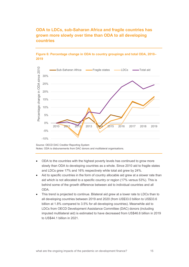

**ODA to LDCs, sub-Saharan Africa and fragile countries has** 





Source: OECD DAC Creditor Reporting System Notes: ODA is disbursements from DAC donors and multilateral organisations.

- ODA to the countries with the highest poverty levels has continued to grow more slowly than ODA to developing countries as a whole. Since 2010 aid to fragile states and LDCs grew 17% and 16% respectively while total aid grew by 24%.
- Aid to specific countries in the form of country allocable aid grew at a slower rate than aid which is not allocated to a specific country or region (17% versus 53%). This is behind some of the growth difference between aid to individual countries and all ODA.
- This trend is projected to continue. Bilateral aid grew at a lower rate to LDCs than to all developing countries between 2019 and 2020 (from US\$33.0 billion to US\$33.6 billion at 1.8% compared to 3.5% for all developing countries). Meanwhile aid to LDCs from OECD Development Assistance Committee (DAC) donors (including imputed multilateral aid) is estimated to have decreased from US\$46.6 billion in 2019 to US\$44.1 billion in 2021.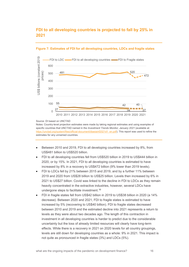### **FDI to all developing countries is projected to fall by 25% in 2021**



#### **Figure 7: Estimates of FDI for all developing countries, LDCs and fragile states**

#### Source: DI based on UNCTAD

Notes: Country-level projection estimates were made by taking regional estimates and using examples of specific countries that UNCTAD named in the *Investment Trends Monitor, January 2021* (available at: [https://unctad.org/system/files/official-document/diaeiainf2021d1\\_en.pdf\).](https://unctad.org/system/files/official-document/diaeiainf2021d1_en.pdf) This report was used to refine the estimates for any unnamed countries.

- Between 2010 and 2019, FDI to all developing countries increased by 8%, from US\$481 billion to US\$520 billion.
- FDI to all developing countries fell from US\$520 billion in 2019 to US\$444 billion in 2020, or by 15%. In 2021, FDI to all developing countries is estimated to have increased by 8% in a recovery to US\$472 billion (9% lower than 2019 levels).
- FDI to LDCs fell by 21% between 2015 and 2019, and by a further 11% between 2019 and 2020 from US\$28 billion to US\$25 billion. Levels then increased by 6% in 2021 to US\$27 billion. Covid was linked to the decline in FDI to LDCs as they remain heavily concentrated in the extractive industries, however, several LDCs have undergone steps to facilitate investment. [10](#page-23-9)
- FDI in fragile states fell from US\$42 billion in 2019 to US\$38 billion in 2020 (a 14% decrease). Between 2020 and 2021, FDI to fragile states is estimated to have increased by 5% (recovering to US\$40 billion). FDI to fragile states decreased between 2010 and 2019 and the estimated decline into 2021 represents a return to levels as they were about two decades ago. The length of this contraction in investment in all developing countries is harder to predict due to the considerable uncertainty but the loss of already limited resources will clearly have long-term effects. While there is a recovery in 2021 on 2020 levels for all country groupings, levels are still down for developing countries as a whole: 9% in 2021. This impact is not quite as pronounced in fragile states (3%) and LDCs (5%).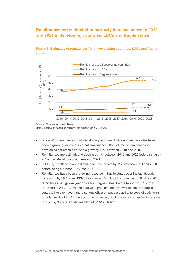## **Remittances are estimated to narrowly increase between 2019 and 2021 in developing countries, LDCs and fragile states**



### **Figure 8: Estimates of remittances for all developing countries, LDCs and fragile states**

Source: DI based on World Bank Notes: Estimates based on regional projections for 2020–2021.

- Since 2010 remittances to all developing countries, LDCs and fragile states have been a growing source of international finance. The volume of remittances in developing countries as a whole grew by 50% between 2010 and 2019.
- Remittances are estimated to decline by 1% between 2019 and 2020 before rising by 2.7% in all developing countries into 2021.
- In LDCs, remittances are estimated to have grown by 1% between 2019 and 2020 before rising a further 3.2% into 2021.
- Remittances have been a growing resource in fragile states over the last decade, increasing by 56% from US\$75 billion in 2010 to US\$117 billion in 2019. Since 2010, remittances had grown year on year in fragile states, before falling by 0.7% from 2019 into 2020. As such, the relative impact on already lower incomes in fragile states is likely to have a more serious effect on people's ability to cope directly, with broader implications for the economy. However, remittances are expected to recover in 2021 by 3.2% to an all-time high of US\$120 billion.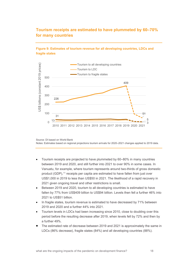## **Tourism receipts are estimated to have plummeted by 60–70% for many countries**

### **Figure 9: Estimates of tourism revenue for all developing countries, LDCs and fragile states**



Source: DI based on World Bank Notes: Estimates based on regional projections tourism arrivals for 2020–2021 changes applied to 2019 data.

- Tourism receipts are projected to have plummeted by 60–80% in many countries between 2019 and 2020, and still further into 2021 to over 90% in some cases. In Vanuatu, for example, where tourism represents around two-thirds of gross domestic product (GDP), [11](#page-23-10) receipts per capita are estimated to have fallen from just over US\$1,000 in 2019 to less than US\$50 in 2021. The likelihood of a rapid recovery in 2021 given ongoing travel and other restrictions is small.
- Between 2019 and 2020, tourism to all developing countries is estimated to have fallen by 77% from US\$409 billion to US\$94 billion. Levels then fell a further 46% into 2021 to US\$51 billion.
- In fragile states, tourism revenue is estimated to have decreased by 71% between 2019 and 2020 and a further 44% into 2021.
- Tourism levels in LDCs had been increasing since 2010, close to doubling over this period before the resulting decrease after 2019, when levels fell by 72% and then by a further 49%.
- The estimated rate of decrease between 2019 and 2021 is approximately the same in LDCs (86% decrease), fragile states (84%) and all developing countries (88%).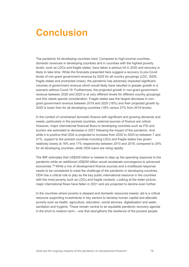## <span id="page-18-0"></span>**Conclusion**

The pandemic hit developing countries hard. Compared to high-income countries, domestic revenues in developing countries and in countries with the highest poverty levels, such as LDCs and fragile states, have taken a serious hit in 2020 and recovery is likely to take time. While the forecasts presented here suggest a recovery to pre-Covid levels of non-grant government revenue by 2025 for all country groupings (LDC, SIDS, fragile states and protracted crises), the pandemic has adversely impacted significant volumes of government revenue which would likely have resulted in greater growth in a scenario without Covid-19. Furthermore, the projected growth in non-grant government revenue between 2020 and 2025 is at very different levels for different country groupings and this needs special consideration. Fragile states saw the largest decrease in nongrant government revenue between 2019 and 2020 (18%) and their projected growth by 2025 is lower than for all developing countries (19% versus 27% from 2019 levels).

In the context of constrained domestic finance with significant and growing demands and needs, particularly in the poorest countries, external sources of finance are critical. However, major international financial flows to developing countries such as FDI and tourism are estimated to decrease in 2021 following the impact of the pandemic. And while it is positive that ODA is projected to increase from 2020 to 2025 by between 7 and 21%, support to the poorest countries including LDCs and fragile states has grown relatively slowly at 16% and 17% respectively between 2010 and 2019, compared to 24% for all developing countries, while ODA loans are rising rapidly.

The IMF estimates that US\$200 billion is needed to step up the spending response to the pandemic while an additional US\$250 billion would accelerate convergence to advanced economies. [12](#page-23-11) While a mix of development finance sources and a multifaced response needs to be considered to meet the challenge of the pandemic in developing countries, ODA has a critical role to play as the key public international resource in the countries with the most poverty such as LDCs and fragile contexts. Looking at the wider picture, major international flows have fallen in 2021 and are projected to decline even further.

In the countries where poverty is deepest and domestic resources lowest, aid is a critical resource supporting investments in key sectors to develop human capital and alleviate poverty such as health, agriculture, education, social services, digitalisation and water, sanitation and hygiene. These remain central to an [equitable pandemic recovery agenda](https://www.gatesfoundation.org/ideas/articles/equitable-economic-recovery-strategy) in the short to medium term – one that strengthens the resilience of the poorest people.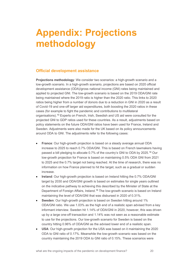# <span id="page-19-0"></span>**Appendix: Projections methodology**

## **Official development assistance**

**Projections methodology**: We consider two scenarios: a high-growth scenario and a low-growth scenario. In a high-growth scenario, projections are based on 2020 official development assistance (ODA)/gross national income (GNI) rates being maintained and applied to projected GNI. The low-growth scenario is based on the 2019 ODA/GNI rate being maintained where the 2019 ratio is higher than the 2020 ratio. This links to 2020 ratios being higher from a number of donors due to a reduction in GNI in 2020 as a result of Covid-19 and one-off larger aid expenditures, both boosting the 2020 ratios in these cases (for example to fight the pandemic and contributions to multilateral organisations). [13](#page-23-12) Experts on French, Irish, Swedish and US aid were consulted for the projected GNI to GDP ratios used for these countries. As a result, adjustments based on policy statements on the future ODA/GNI ratios have been used for France, Ireland and Sweden. Adjustments were also made for the UK based on its policy announcements around ODA to GNI. The adjustments refer to the following cases:

- **France**: Our high-growth projection is based on a steady average annual ODA increase to 2025 to reach 0.7% ODA/GNI. This is based on French lawmakers having passed a bill pledging to allocate 0.7% of the country's GNI to ODA by 2025.[14](#page-23-13) Our low-growth projection for France is based on maintaining 0.5% ODA GNI from 2021 to 2025 and the 0.7% target not being reached. At the time of research, there was no information on how France planned to hit the target, such as a gradual or sudden increase.
- **Ireland**: Our high-growth projection is based on Ireland hitting the 0.7% ODA/GNI target by 2030 and ODA/GNI growth is based on estimates for single years outlined on the indicative pathway to achieving this described by the Minister of State at the Department of Foreign Affairs, Ireland.<sup>[15](#page-23-14)</sup> The low-growth scenario is based on Ireland maintaining the level of ODA/GNI that was disbursed in 2020 of 0.31%.
- **Sweden**: Our high-growth projection is based on Sweden hitting around 1% ODA/GNI ratio. We use 1.03% as the high end of a realistic span advised from a key informant interview. Sweden hit 1.14% of ODA/GNI in 2020, however, this was driven up by a large one-off transaction and 1.14% was not seen as a reasonable estimate to use for the projections. Our low-growth scenario for Sweden is based on the country hitting 0.96% of ODA/GNI as the advised lower end of a realistic span.
- **USA**: Our high-growth projection for the USA was based on it maintaining the 2020 ODA to GNI ratio of 0.17%. Meanwhile the low-growth scenario was based on the country maintaining the 2019 ODA to GNI ratio of 0.15%. These scenarios were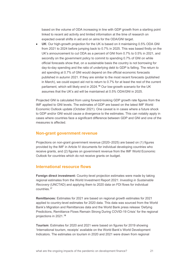based on the volume of ODA increasing in line with GDP growth from a starting point linked to recent aid activity and limited information at the time of research on expected overall shifts in aid and on aims for the ODA/GNI target.

• **UK**: Our high-growth projection for the UK is based on it maintaining 0.5% ODA GNI from 2021 to 2024 before jumping back to 0.7% in 2025. This was based firstly on the UK's announcement to cut ODA as a percent of GNI from 0.7% to 0.5% in 2021, and secondly on the government policy to commit to spending 0.7% of GNI on while official forecasts show that, on a sustainable basis the country is not borrowing for day-to-day spending and the ratio of underlying debt to GDP is falling. The return to aid spending at 0.7% of GNI would depend on the official economic forecasts published in autumn 2021. If they are similar to the most recent forecasts (published in March), we could expect aid not to return to 0.7% for at least the rest of the current parliament, which will likely end in 2024.<sup>[16](#page-23-15)</sup> Our low-growth scenario for the UK assumes that the UK's aid will be maintained at 0.5% ODA/GNI in 2025.

Projected GNI is calculated from using forward-looking GDP growth rate figures from the IMF applied to GNI levels. The estimates of GDP are based on the latest IMF World Economic Outlook update (October 2021). One caveat is in cases where a future shock to GDP and/or GNI would cause a divergence to the estimates. This can notably apply in cases where countries face a significant difference between GDP and GNI and one of the measures is affected.

### **Non-grant government revenue**

Projections on non-grant government revenue (2020–2025) are based on (1) figures provided by the IMF in Article IV documents for individual developing countries who receive grants, and (2) figures on government revenue from the IMF World Economic Outlook for countries which do not receive grants on budget.

### **International resource flows**

**Foreign direct investment:** Country-level projection estimates were made by taking regional estimates from the World Investment Report 2021: *Investing in Sustainable Recovery* (UNCTAD) and applying them to 2020 data on FDI flows for individual countries.[17](#page-23-16)

**Remittances:** Estimates for 2021 are based on regional growth estimates for 2021 applied to country-level estimates for 2020 data. This data was sourced from the World Bank's Migration and Remittances data and the World Bank press release 'Defying Predictions, Remittance Flows Remain Strong During COVID-19 Crisis' for the regional projections in 2021.[18](#page-23-17)

**Tourism**: Estimates for 2020 and 2021 were based on figures for 2019 showing 'International tourism, receipts' available on the World Bank's World Development Indicators. The estimates on tourism in 2020 and 2021 were drawn from regional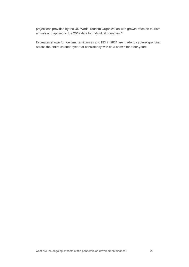projections provided by the UN World Tourism Organization with growth rates on tourism arrivals and applied to the 2019 data for individual countries.[19](#page-23-18)

Estimates shown for tourism, remittances and FDI in 2021 are made to capture spending across the entire calendar year for consistency with data shown for other years.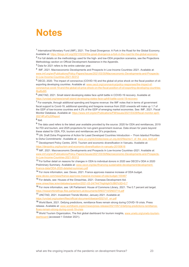## <span id="page-22-0"></span>**Notes**

<sup>1</sup> International Monetary Fund (IMF), 2021. The Great Divergence: A Fork in the Road for the Global Economy. Available at[: https://blogs.imf.org/2021/02/24/the-great-divergence-a-fork-in-the-road-for-the-global-economy](https://blogs.imf.org/2021/02/24/the-great-divergence-a-fork-in-the-road-for-the-global-economy)

<sup>2</sup> For full details on the methodology used for the high- and low-ODA projection scenarios, see the Projections Methodology section on Official Development Assistance in the Appendix.

<sup>3</sup> Data for 2021 refers to the entire calendar year.

4 IMF, 2021. Macroeconomic Developments and Prospects In Low-Income Countries–2021. Available at: [www.imf.org/en/Publications/Policy-Papers/Issues/2021/03/30/Macroeconomic-Developments-and-Prospects-](http://www.imf.org/en/Publications/Policy-Papers/Issues/2021/03/30/Macroeconomic-Developments-and-Prospects-In-Low-Income-Countries-2021-50312)[In-Low-Income-Countries-2021-50312](http://www.imf.org/en/Publications/Policy-Papers/Issues/2021/03/30/Macroeconomic-Developments-and-Prospects-In-Low-Income-Countries-2021-50312)

<sup>5</sup> OECD, 2020. The impact of coronavirus (COVID-19) and the global oil price shock on the fiscal position of oilexporting developing countries. Available at: [www.oecd.org/coronavirus/policy-responses/the-impact-of](http://www.oecd.org/coronavirus/policy-responses/the-impact-of-coronavirus-covid-19-and-the-global-oil-price-shock-on-the-fiscal-position-of-oil-exporting-developing-countries-8bafbd95)[coronavirus-covid-19-and-the-global-oil-price-shock-on-the-fiscal-position-of-oil-exporting-developing-countries-](http://www.oecd.org/coronavirus/policy-responses/the-impact-of-coronavirus-covid-19-and-the-global-oil-price-shock-on-the-fiscal-position-of-oil-exporting-developing-countries-8bafbd95)[8bafbd95](http://www.oecd.org/coronavirus/policy-responses/the-impact-of-coronavirus-covid-19-and-the-global-oil-price-shock-on-the-fiscal-position-of-oil-exporting-developing-countries-8bafbd95)

<sup>6</sup> UNCTAD, 2021. Small island developing states face uphill battle in COVID-19 recovery. Available at: <https://unctad.org/news/small-island-developing-states-face-uphill-battle-covid-19-recovery>

 $<sup>7</sup>$  For example, through additional spending and forgone revenue: the IMF notes that in terms of government</sup> fiscal support to Covid-19, additional spending and foregone revenue from 2020 onwards will make up 1.7 of the GDP of low-income countries and 4.2% of the GDP of emerging market economies. See: IMF, 2021. Fiscal Monitor Database. Available at: [https://www.imf.org/en/Publications/FM/Issues/2021/03/29/fiscal-monitor-april-](https://www.imf.org/en/Publications/FM/Issues/2021/03/29/fiscal-monitor-april-2021#Full%20Report)[2021#Full%20Report](https://www.imf.org/en/Publications/FM/Issues/2021/03/29/fiscal-monitor-april-2021#Full%20Report)

 $8$  Ibid.

<sup>9</sup> The data used refers to the latest year available provided by the source: 2020 for ODA and remittances, 2019 for FDI and tourism, and 2025 projections for non-grant government revenue. Data shown for years beyond these stated for ODA, FDI, tourism and remittances are DI's projections.

<sup>10</sup> UN. Draft Doha Programme of Action for Least Developed Countries Introduction -- 'From Istanbul Priorities to Doha Commitments'. Available at: [www.un.org/ldc5/sites/www.un.org.ldc5/files/rev1\\_of\\_the\\_poa\\_ldc5.pdf](http://www.un.org/ldc5/sites/www.un.org.ldc5/files/rev1_of_the_poa_ldc5.pdf)

<sup>11</sup> Development Policy Centre, 2015. Tourism and economic diversification in Vanuatu. Available at: [https://devpolicy.org/tourism-and-economic-diversification-in-vanuatu-20150616](https://devpolicy.org/tourism-and-economic-diversification-in-vanuatu-20150616/)

<sup>12</sup> IMF, 2021. Macroeconomic Developments and Prospects In Low-Income Countries–2021. Available at: [www.imf.org/en/Publications/Policy-Papers/Issues/2021/03/30/Macroeconomic-Developments-and-Prospects-](https://www.imf.org/en/Publications/Policy-Papers/Issues/2021/03/30/Macroeconomic-Developments-and-Prospects-In-Low-Income-Countries-2021-50312)[In-Low-Income-Countries-2021-50312](https://www.imf.org/en/Publications/Policy-Papers/Issues/2021/03/30/Macroeconomic-Developments-and-Prospects-In-Low-Income-Countries-2021-50312)

<sup>13</sup> For further detail on reasons for changes in ODA to individual donors in 2020 see OECD's ODA in 2020 Preliminary Summary. Available at: [www.oecd.org/dac/financing-sustainable-development/development](http://www.oecd.org/dac/financing-sustainable-development/development-finance-data/ODA-2020-detailed-summary.pdf)[finance-data/ODA-2020-detailed-summary.pdf](http://www.oecd.org/dac/financing-sustainable-development/development-finance-data/ODA-2020-detailed-summary.pdf)

<sup>14</sup> For more information, see: Devex, 2021. France approves massive increase of ODA budget. [www.devex.com/news/france-approves-massive-increase-of-oda-budget-100467](https://www.devex.com/news/france-approves-massive-increase-of-oda-budget-100467)

<sup>15</sup> For details, see: Houses of the Oireachtas, 2021. Overseas Development Aid. [www.oireachtas.ie/en/debates/question/2021-03-24/744/?highlight%5B0%5D=0.7](https://www.oireachtas.ie/en/debates/question/2021-03-24/744/?highlight%5B0%5D=0.7)

<sup>16</sup> For more information, see: UK Parliament: House of Commons Library, 2021. The 0.7 percent aid target. <https://researchbriefings.files.parliament.uk/documents/SN03714/SN03714.pdf>

<sup>17</sup> UNCTAD, 2021. Investment Trends Monitor, January 2021. Available at:

[https://unctad.org/system/files/official-document/diaeiainf2021d1\\_en.pdf](https://unctad.org/system/files/official-document/diaeiainf2021d1_en.pdf)

<sup>18</sup> World Bank, 2021. Defying predictions, remittance flows remain strong during COVID-19 crisis. Press release. Available at: [www.worldbank.org/en/news/press-release/2021/05/12/defying-predictions-remittance](https://www.worldbank.org/en/news/press-release/2021/05/12/defying-predictions-remittance-flows-remain-strong-during-covid-19-crisis)[flows-remain-strong-during-covid-19-crisis](https://www.worldbank.org/en/news/press-release/2021/05/12/defying-predictions-remittance-flows-remain-strong-during-covid-19-crisis)

19 World Tourism Organization, The first global dashboard for tourism insights, [www.unwto.org/unwto-tourism](https://www.unwto.org/unwto-tourism-dashboard)[dashboard](https://www.unwto.org/unwto-tourism-dashboard) (accessed 1 October 2021).